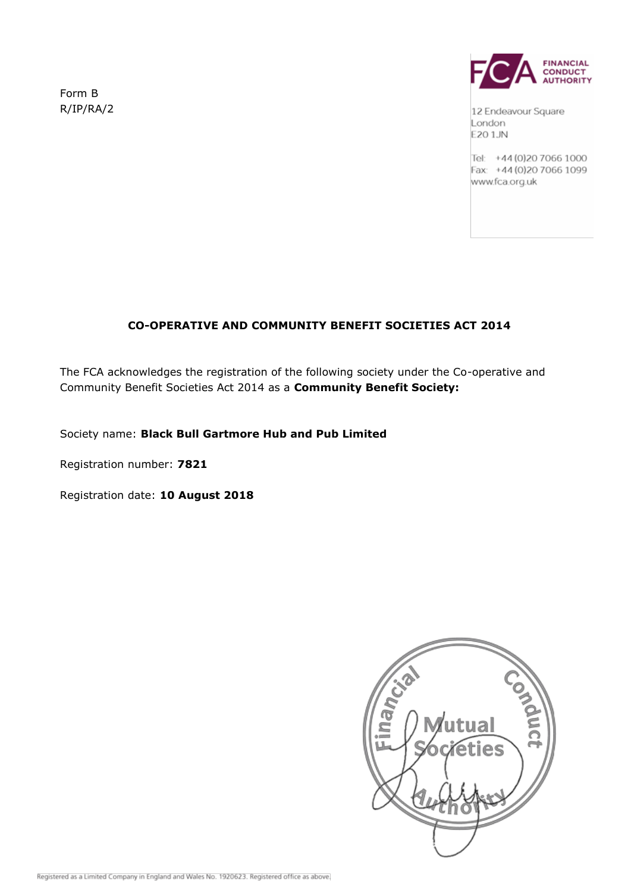Form B R/IP/RA/2



12 Endeavour Square London E20 1JN

Tel: +44 (0) 20 7066 1000 Fax: +44 (0) 20 7066 1099 www.fca.org.uk

# **CO-OPERATIVE AND COMMUNITY BENEFIT SOCIETIES ACT 2014**

The FCA acknowledges the registration of the following society under the Co-operative and Community Benefit Societies Act 2014 as a **Community Benefit Society:**

Society name: **Black Bull Gartmore Hub and Pub Limited**

Registration number: **7821**

Registration date: **10 August 2018**

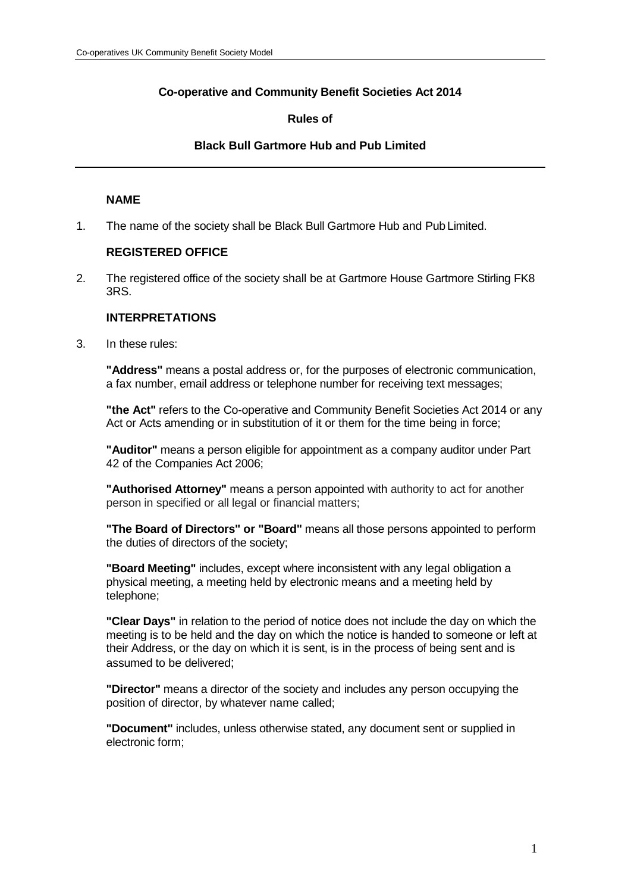# **Co-operative and Community Benefit Societies Act 2014**

## **Rules of**

#### **Black Bull Gartmore Hub and Pub Limited**

#### **NAME**

1. The name of the society shall be Black Bull Gartmore Hub and Pub Limited.

## **REGISTERED OFFICE**

2. The registered office of the society shall be at Gartmore House Gartmore Stirling FK8 3RS.

#### **INTERPRETATIONS**

3. In these rules:

**"Address"** means a postal address or, for the purposes of electronic communication, a fax number, email address or telephone number for receiving text messages;

**"the Act"** refers to the Co-operative and Community Benefit Societies Act 2014 or any Act or Acts amending or in substitution of it or them for the time being in force;

**"Auditor"** means a person eligible for appointment as a company auditor under Part 42 of the Companies Act 2006;

**"Authorised Attorney"** means a person appointed with authority to act for another person in specified or all legal or financial matters;

**"The Board of Directors" or "Board"** means all those persons appointed to perform the duties of directors of the society;

**"Board Meeting"** includes, except where inconsistent with any legal obligation a physical meeting, a meeting held by electronic means and a meeting held by telephone;

**"Clear Days"** in relation to the period of notice does not include the day on which the meeting is to be held and the day on which the notice is handed to someone or left at their Address, or the day on which it is sent, is in the process of being sent and is assumed to be delivered;

**"Director"** means a director of the society and includes any person occupying the position of director, by whatever name called;

**"Document"** includes, unless otherwise stated, any document sent or supplied in electronic form;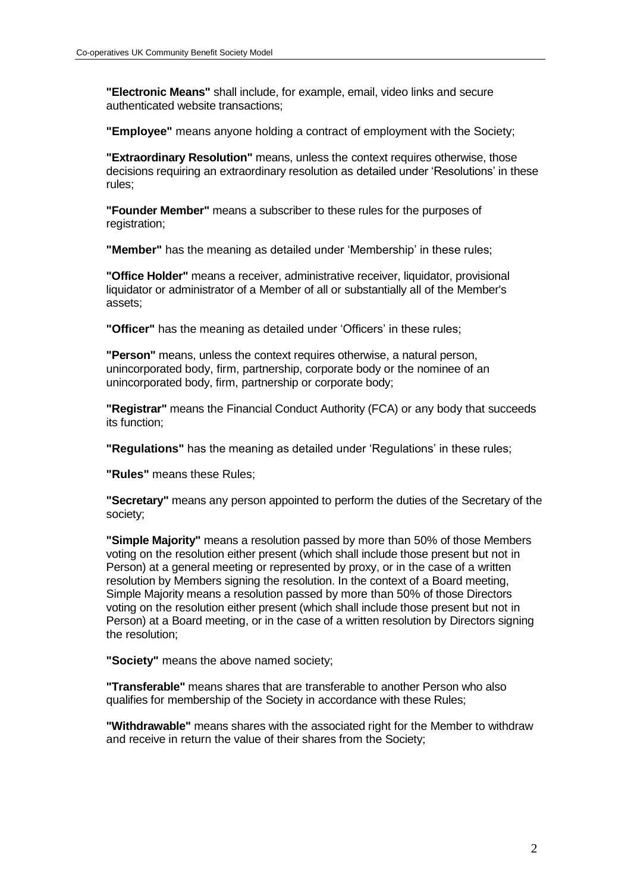**"Electronic Means"** shall include, for example, email, video links and secure authenticated website transactions;

**"Employee"** means anyone holding a contract of employment with the Society;

**"Extraordinary Resolution"** means, unless the context requires otherwise, those decisions requiring an extraordinary resolution as detailed under 'Resolutions' in these rules;

**"Founder Member"** means a subscriber to these rules for the purposes of registration;

**"Member"** has the meaning as detailed under 'Membership' in these rules;

**"Office Holder"** means a receiver, administrative receiver, liquidator, provisional liquidator or administrator of a Member of all or substantially all of the Member's assets;

**"Officer"** has the meaning as detailed under 'Officers' in these rules;

**"Person"** means, unless the context requires otherwise, a natural person, unincorporated body, firm, partnership, corporate body or the nominee of an unincorporated body, firm, partnership or corporate body;

**"Registrar"** means the Financial Conduct Authority (FCA) or any body that succeeds its function;

**"Regulations"** has the meaning as detailed under 'Regulations' in these rules;

**"Rules"** means these Rules;

**"Secretary"** means any person appointed to perform the duties of the Secretary of the society;

**"Simple Majority"** means a resolution passed by more than 50% of those Members voting on the resolution either present (which shall include those present but not in Person) at a general meeting or represented by proxy, or in the case of a written resolution by Members signing the resolution. In the context of a Board meeting, Simple Majority means a resolution passed by more than 50% of those Directors voting on the resolution either present (which shall include those present but not in Person) at a Board meeting, or in the case of a written resolution by Directors signing the resolution;

**"Society"** means the above named society;

**"Transferable"** means shares that are transferable to another Person who also qualifies for membership of the Society in accordance with these Rules;

**"Withdrawable"** means shares with the associated right for the Member to withdraw and receive in return the value of their shares from the Society;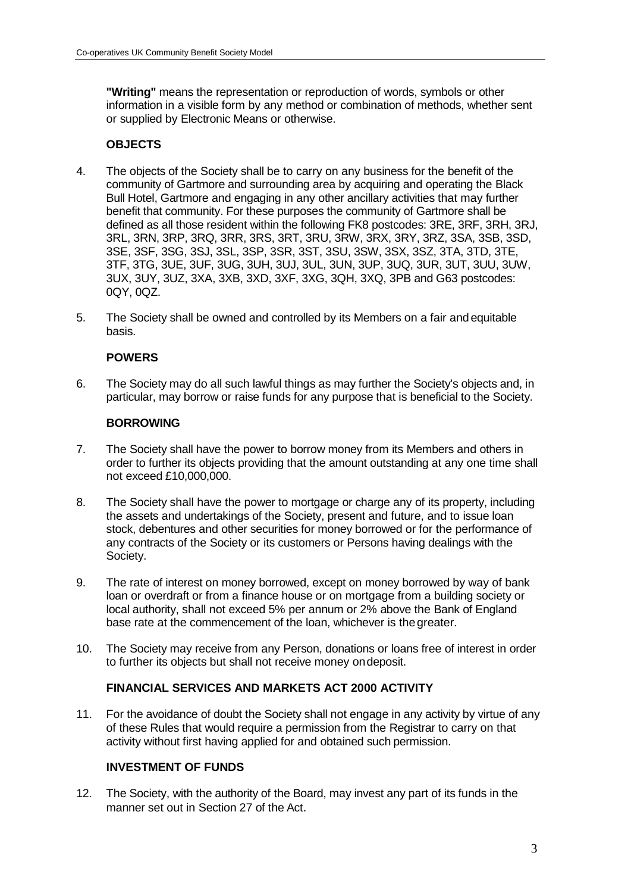**"Writing"** means the representation or reproduction of words, symbols or other information in a visible form by any method or combination of methods, whether sent or supplied by Electronic Means or otherwise.

# **OBJECTS**

- 4. The objects of the Society shall be to carry on any business for the benefit of the community of Gartmore and surrounding area by acquiring and operating the Black Bull Hotel, Gartmore and engaging in any other ancillary activities that may further benefit that community. For these purposes the community of Gartmore shall be defined as all those resident within the following FK8 postcodes: 3RE, 3RF, 3RH, 3RJ, 3RL, 3RN, 3RP, 3RQ, 3RR, 3RS, 3RT, 3RU, 3RW, 3RX, 3RY, 3RZ, 3SA, 3SB, 3SD, 3SE, 3SF, 3SG, 3SJ, 3SL, 3SP, 3SR, 3ST, 3SU, 3SW, 3SX, 3SZ, 3TA, 3TD, 3TE, 3TF, 3TG, 3UE, 3UF, 3UG, 3UH, 3UJ, 3UL, 3UN, 3UP, 3UQ, 3UR, 3UT, 3UU, 3UW, 3UX, 3UY, 3UZ, 3XA, 3XB, 3XD, 3XF, 3XG, 3QH, 3XQ, 3PB and G63 postcodes: 0QY, 0QZ.
- 5. The Society shall be owned and controlled by its Members on a fair andequitable basis.

## **POWERS**

6. The Society may do all such lawful things as may further the Society's objects and, in particular, may borrow or raise funds for any purpose that is beneficial to the Society.

## **BORROWING**

- 7. The Society shall have the power to borrow money from its Members and others in order to further its objects providing that the amount outstanding at any one time shall not exceed £10,000,000.
- 8. The Society shall have the power to mortgage or charge any of its property, including the assets and undertakings of the Society, present and future, and to issue loan stock, debentures and other securities for money borrowed or for the performance of any contracts of the Society or its customers or Persons having dealings with the Society.
- 9. The rate of interest on money borrowed, except on money borrowed by way of bank loan or overdraft or from a finance house or on mortgage from a building society or local authority, shall not exceed 5% per annum or 2% above the Bank of England base rate at the commencement of the loan, whichever is the greater.
- 10. The Society may receive from any Person, donations or loans free of interest in order to further its objects but shall not receive money ondeposit.

## **FINANCIAL SERVICES AND MARKETS ACT 2000 ACTIVITY**

11. For the avoidance of doubt the Society shall not engage in any activity by virtue of any of these Rules that would require a permission from the Registrar to carry on that activity without first having applied for and obtained such permission.

# **INVESTMENT OF FUNDS**

12. The Society, with the authority of the Board, may invest any part of its funds in the manner set out in Section 27 of the Act.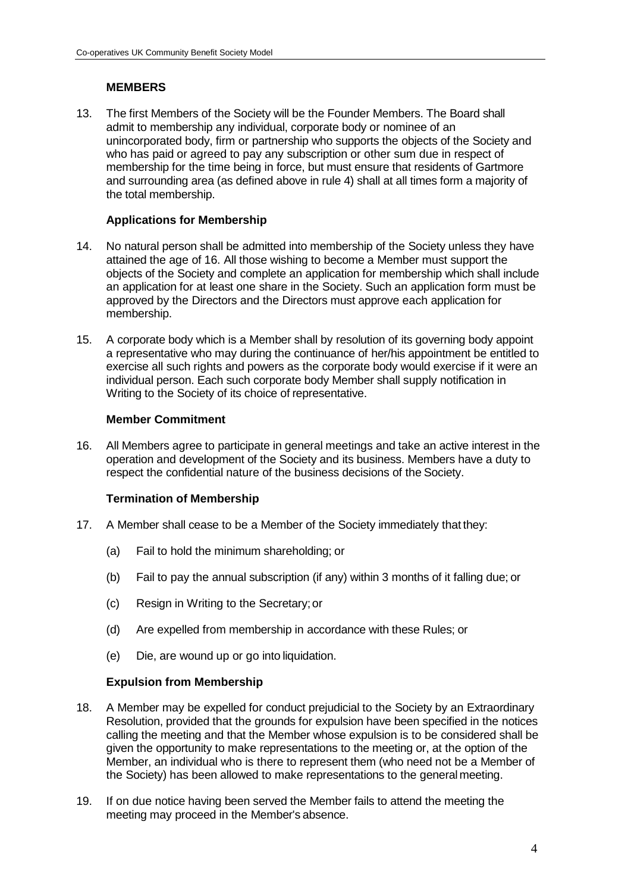## **MEMBERS**

13. The first Members of the Society will be the Founder Members. The Board shall admit to membership any individual, corporate body or nominee of an unincorporated body, firm or partnership who supports the objects of the Society and who has paid or agreed to pay any subscription or other sum due in respect of membership for the time being in force, but must ensure that residents of Gartmore and surrounding area (as defined above in rule 4) shall at all times form a majority of the total membership.

## **Applications for Membership**

- 14. No natural person shall be admitted into membership of the Society unless they have attained the age of 16. All those wishing to become a Member must support the objects of the Society and complete an application for membership which shall include an application for at least one share in the Society. Such an application form must be approved by the Directors and the Directors must approve each application for membership.
- 15. A corporate body which is a Member shall by resolution of its governing body appoint a representative who may during the continuance of her/his appointment be entitled to exercise all such rights and powers as the corporate body would exercise if it were an individual person. Each such corporate body Member shall supply notification in Writing to the Society of its choice of representative.

## **Member Commitment**

16. All Members agree to participate in general meetings and take an active interest in the operation and development of the Society and its business. Members have a duty to respect the confidential nature of the business decisions of the Society.

## **Termination of Membership**

- 17. A Member shall cease to be a Member of the Society immediately that they:
	- (a) Fail to hold the minimum shareholding; or
	- (b) Fail to pay the annual subscription (if any) within 3 months of it falling due; or
	- (c) Resign in Writing to the Secretary;or
	- (d) Are expelled from membership in accordance with these Rules; or
	- (e) Die, are wound up or go into liquidation.

## **Expulsion from Membership**

- 18. A Member may be expelled for conduct prejudicial to the Society by an Extraordinary Resolution, provided that the grounds for expulsion have been specified in the notices calling the meeting and that the Member whose expulsion is to be considered shall be given the opportunity to make representations to the meeting or, at the option of the Member, an individual who is there to represent them (who need not be a Member of the Society) has been allowed to make representations to the general meeting.
- 19. If on due notice having been served the Member fails to attend the meeting the meeting may proceed in the Member's absence.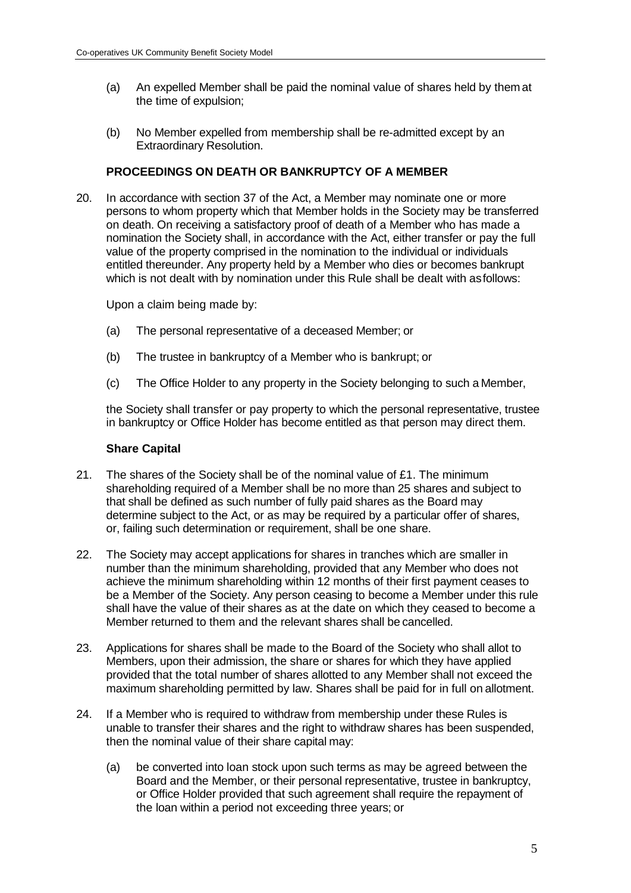- (a) An expelled Member shall be paid the nominal value of shares held by them at the time of expulsion;
- (b) No Member expelled from membership shall be re-admitted except by an Extraordinary Resolution.

## **PROCEEDINGS ON DEATH OR BANKRUPTCY OF A MEMBER**

20. In accordance with section 37 of the Act, a Member may nominate one or more persons to whom property which that Member holds in the Society may be transferred on death. On receiving a satisfactory proof of death of a Member who has made a nomination the Society shall, in accordance with the Act, either transfer or pay the full value of the property comprised in the nomination to the individual or individuals entitled thereunder. Any property held by a Member who dies or becomes bankrupt which is not dealt with by nomination under this Rule shall be dealt with asfollows:

Upon a claim being made by:

- (a) The personal representative of a deceased Member; or
- (b) The trustee in bankruptcy of a Member who is bankrupt; or
- (c) The Office Holder to any property in the Society belonging to such a Member,

the Society shall transfer or pay property to which the personal representative, trustee in bankruptcy or Office Holder has become entitled as that person may direct them.

#### **Share Capital**

- 21. The shares of the Society shall be of the nominal value of £1. The minimum shareholding required of a Member shall be no more than 25 shares and subject to that shall be defined as such number of fully paid shares as the Board may determine subject to the Act, or as may be required by a particular offer of shares, or, failing such determination or requirement, shall be one share.
- 22. The Society may accept applications for shares in tranches which are smaller in number than the minimum shareholding, provided that any Member who does not achieve the minimum shareholding within 12 months of their first payment ceases to be a Member of the Society. Any person ceasing to become a Member under this rule shall have the value of their shares as at the date on which they ceased to become a Member returned to them and the relevant shares shall be cancelled.
- 23. Applications for shares shall be made to the Board of the Society who shall allot to Members, upon their admission, the share or shares for which they have applied provided that the total number of shares allotted to any Member shall not exceed the maximum shareholding permitted by law. Shares shall be paid for in full on allotment.
- 24. If a Member who is required to withdraw from membership under these Rules is unable to transfer their shares and the right to withdraw shares has been suspended, then the nominal value of their share capital may:
	- (a) be converted into loan stock upon such terms as may be agreed between the Board and the Member, or their personal representative, trustee in bankruptcy, or Office Holder provided that such agreement shall require the repayment of the loan within a period not exceeding three years; or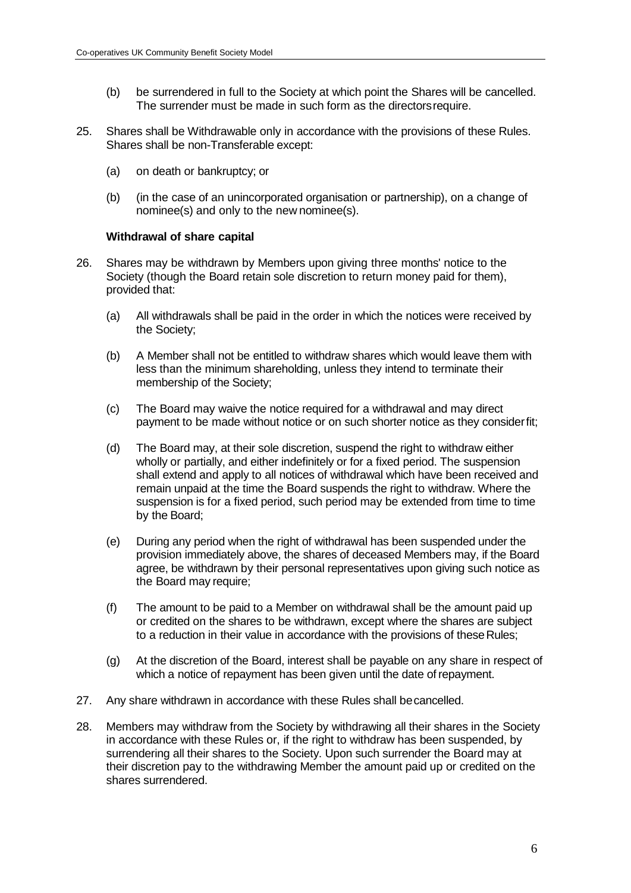- (b) be surrendered in full to the Society at which point the Shares will be cancelled. The surrender must be made in such form as the directorsrequire.
- 25. Shares shall be Withdrawable only in accordance with the provisions of these Rules. Shares shall be non-Transferable except:
	- (a) on death or bankruptcy; or
	- (b) (in the case of an unincorporated organisation or partnership), on a change of nominee(s) and only to the new nominee(s).

#### **Withdrawal of share capital**

- 26. Shares may be withdrawn by Members upon giving three months' notice to the Society (though the Board retain sole discretion to return money paid for them), provided that:
	- (a) All withdrawals shall be paid in the order in which the notices were received by the Society;
	- (b) A Member shall not be entitled to withdraw shares which would leave them with less than the minimum shareholding, unless they intend to terminate their membership of the Society;
	- (c) The Board may waive the notice required for a withdrawal and may direct payment to be made without notice or on such shorter notice as they considerfit;
	- (d) The Board may, at their sole discretion, suspend the right to withdraw either wholly or partially, and either indefinitely or for a fixed period. The suspension shall extend and apply to all notices of withdrawal which have been received and remain unpaid at the time the Board suspends the right to withdraw. Where the suspension is for a fixed period, such period may be extended from time to time by the Board;
	- (e) During any period when the right of withdrawal has been suspended under the provision immediately above, the shares of deceased Members may, if the Board agree, be withdrawn by their personal representatives upon giving such notice as the Board may require;
	- (f) The amount to be paid to a Member on withdrawal shall be the amount paid up or credited on the shares to be withdrawn, except where the shares are subject to a reduction in their value in accordance with the provisions of these Rules;
	- (g) At the discretion of the Board, interest shall be payable on any share in respect of which a notice of repayment has been given until the date of repayment.
- 27. Any share withdrawn in accordance with these Rules shall becancelled.
- 28. Members may withdraw from the Society by withdrawing all their shares in the Society in accordance with these Rules or, if the right to withdraw has been suspended, by surrendering all their shares to the Society. Upon such surrender the Board may at their discretion pay to the withdrawing Member the amount paid up or credited on the shares surrendered.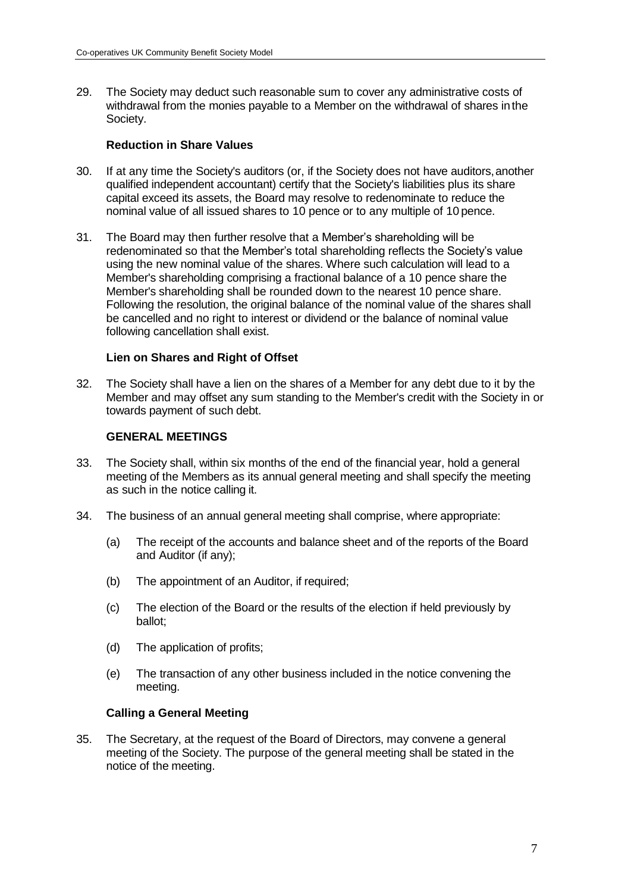29. The Society may deduct such reasonable sum to cover any administrative costs of withdrawal from the monies payable to a Member on the withdrawal of shares inthe Society.

#### **Reduction in Share Values**

- 30. If at any time the Society's auditors (or, if the Society does not have auditors,another qualified independent accountant) certify that the Society's liabilities plus its share capital exceed its assets, the Board may resolve to redenominate to reduce the nominal value of all issued shares to 10 pence or to any multiple of 10 pence.
- 31. The Board may then further resolve that a Member's shareholding will be redenominated so that the Member's total shareholding reflects the Society's value using the new nominal value of the shares. Where such calculation will lead to a Member's shareholding comprising a fractional balance of a 10 pence share the Member's shareholding shall be rounded down to the nearest 10 pence share. Following the resolution, the original balance of the nominal value of the shares shall be cancelled and no right to interest or dividend or the balance of nominal value following cancellation shall exist.

## **Lien on Shares and Right of Offset**

32. The Society shall have a lien on the shares of a Member for any debt due to it by the Member and may offset any sum standing to the Member's credit with the Society in or towards payment of such debt.

## **GENERAL MEETINGS**

- 33. The Society shall, within six months of the end of the financial year, hold a general meeting of the Members as its annual general meeting and shall specify the meeting as such in the notice calling it.
- 34. The business of an annual general meeting shall comprise, where appropriate:
	- (a) The receipt of the accounts and balance sheet and of the reports of the Board and Auditor (if any);
	- (b) The appointment of an Auditor, if required;
	- (c) The election of the Board or the results of the election if held previously by ballot;
	- (d) The application of profits;
	- (e) The transaction of any other business included in the notice convening the meeting.

#### **Calling a General Meeting**

35. The Secretary, at the request of the Board of Directors, may convene a general meeting of the Society. The purpose of the general meeting shall be stated in the notice of the meeting.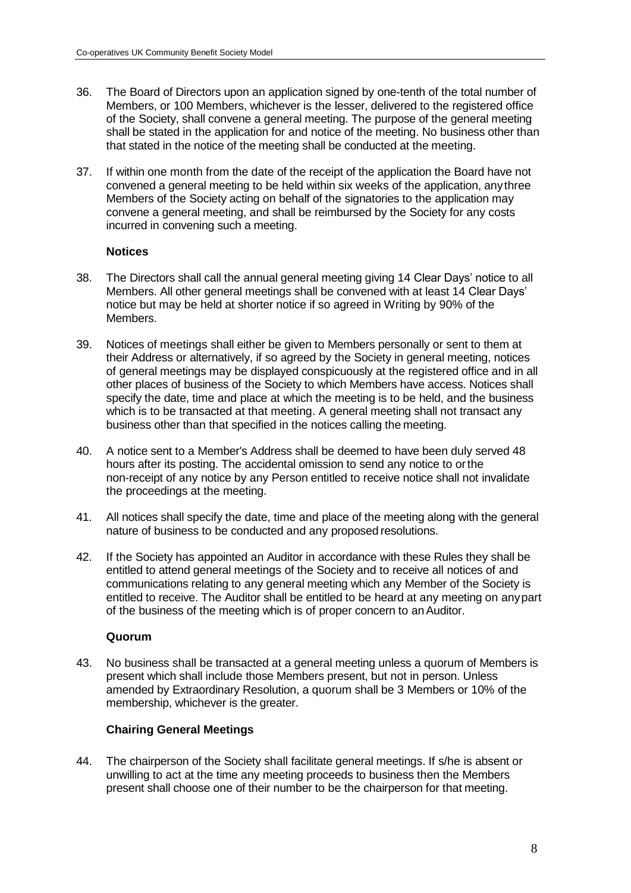- 36. The Board of Directors upon an application signed by one-tenth of the total number of Members, or 100 Members, whichever is the lesser, delivered to the registered office of the Society, shall convene a general meeting. The purpose of the general meeting shall be stated in the application for and notice of the meeting. No business other than that stated in the notice of the meeting shall be conducted at the meeting.
- 37. If within one month from the date of the receipt of the application the Board have not convened a general meeting to be held within six weeks of the application, anythree Members of the Society acting on behalf of the signatories to the application may convene a general meeting, and shall be reimbursed by the Society for any costs incurred in convening such a meeting.

#### **Notices**

- 38. The Directors shall call the annual general meeting giving 14 Clear Days' notice to all Members. All other general meetings shall be convened with at least 14 Clear Days' notice but may be held at shorter notice if so agreed in Writing by 90% of the Members.
- 39. Notices of meetings shall either be given to Members personally or sent to them at their Address or alternatively, if so agreed by the Society in general meeting, notices of general meetings may be displayed conspicuously at the registered office and in all other places of business of the Society to which Members have access. Notices shall specify the date, time and place at which the meeting is to be held, and the business which is to be transacted at that meeting. A general meeting shall not transact any business other than that specified in the notices calling the meeting.
- 40. A notice sent to a Member's Address shall be deemed to have been duly served 48 hours after its posting. The accidental omission to send any notice to orthe non-receipt of any notice by any Person entitled to receive notice shall not invalidate the proceedings at the meeting.
- 41. All notices shall specify the date, time and place of the meeting along with the general nature of business to be conducted and any proposed resolutions.
- 42. If the Society has appointed an Auditor in accordance with these Rules they shall be entitled to attend general meetings of the Society and to receive all notices of and communications relating to any general meeting which any Member of the Society is entitled to receive. The Auditor shall be entitled to be heard at any meeting on anypart of the business of the meeting which is of proper concern to anAuditor.

#### **Quorum**

43. No business shall be transacted at a general meeting unless a quorum of Members is present which shall include those Members present, but not in person. Unless amended by Extraordinary Resolution, a quorum shall be 3 Members or 10% of the membership, whichever is the greater.

#### **Chairing General Meetings**

44. The chairperson of the Society shall facilitate general meetings. If s/he is absent or unwilling to act at the time any meeting proceeds to business then the Members present shall choose one of their number to be the chairperson for that meeting.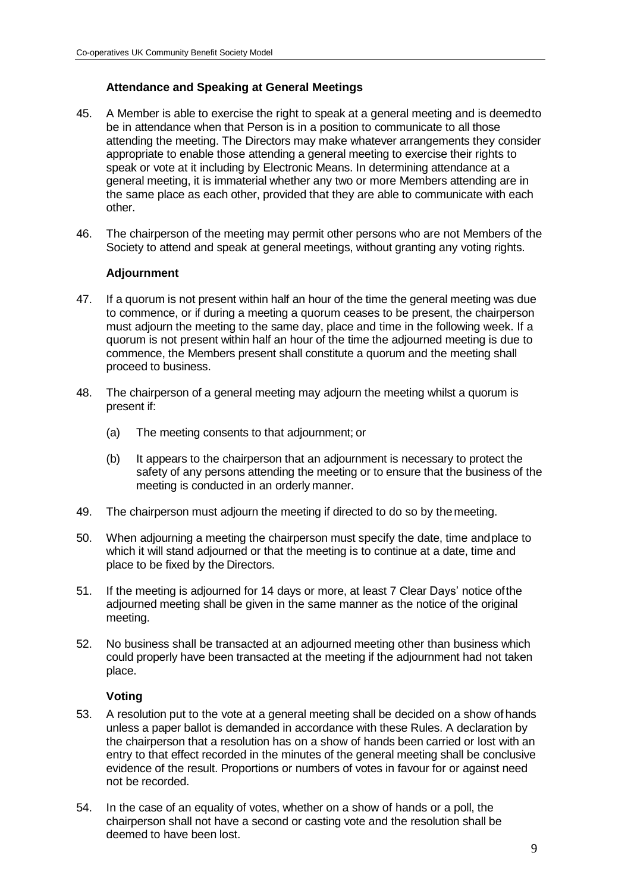# **Attendance and Speaking at General Meetings**

- 45. A Member is able to exercise the right to speak at a general meeting and is deemedto be in attendance when that Person is in a position to communicate to all those attending the meeting. The Directors may make whatever arrangements they consider appropriate to enable those attending a general meeting to exercise their rights to speak or vote at it including by Electronic Means. In determining attendance at a general meeting, it is immaterial whether any two or more Members attending are in the same place as each other, provided that they are able to communicate with each other.
- 46. The chairperson of the meeting may permit other persons who are not Members of the Society to attend and speak at general meetings, without granting any voting rights.

## **Adjournment**

- 47. If a quorum is not present within half an hour of the time the general meeting was due to commence, or if during a meeting a quorum ceases to be present, the chairperson must adjourn the meeting to the same day, place and time in the following week. If a quorum is not present within half an hour of the time the adjourned meeting is due to commence, the Members present shall constitute a quorum and the meeting shall proceed to business.
- 48. The chairperson of a general meeting may adjourn the meeting whilst a quorum is present if:
	- (a) The meeting consents to that adjournment; or
	- (b) It appears to the chairperson that an adjournment is necessary to protect the safety of any persons attending the meeting or to ensure that the business of the meeting is conducted in an orderly manner.
- 49. The chairperson must adjourn the meeting if directed to do so by themeeting.
- 50. When adjourning a meeting the chairperson must specify the date, time andplace to which it will stand adjourned or that the meeting is to continue at a date, time and place to be fixed by the Directors.
- 51. If the meeting is adjourned for 14 days or more, at least 7 Clear Days' notice ofthe adjourned meeting shall be given in the same manner as the notice of the original meeting.
- 52. No business shall be transacted at an adjourned meeting other than business which could properly have been transacted at the meeting if the adjournment had not taken place.

## **Voting**

- 53. A resolution put to the vote at a general meeting shall be decided on a show of hands unless a paper ballot is demanded in accordance with these Rules. A declaration by the chairperson that a resolution has on a show of hands been carried or lost with an entry to that effect recorded in the minutes of the general meeting shall be conclusive evidence of the result. Proportions or numbers of votes in favour for or against need not be recorded.
- 54. In the case of an equality of votes, whether on a show of hands or a poll, the chairperson shall not have a second or casting vote and the resolution shall be deemed to have been lost.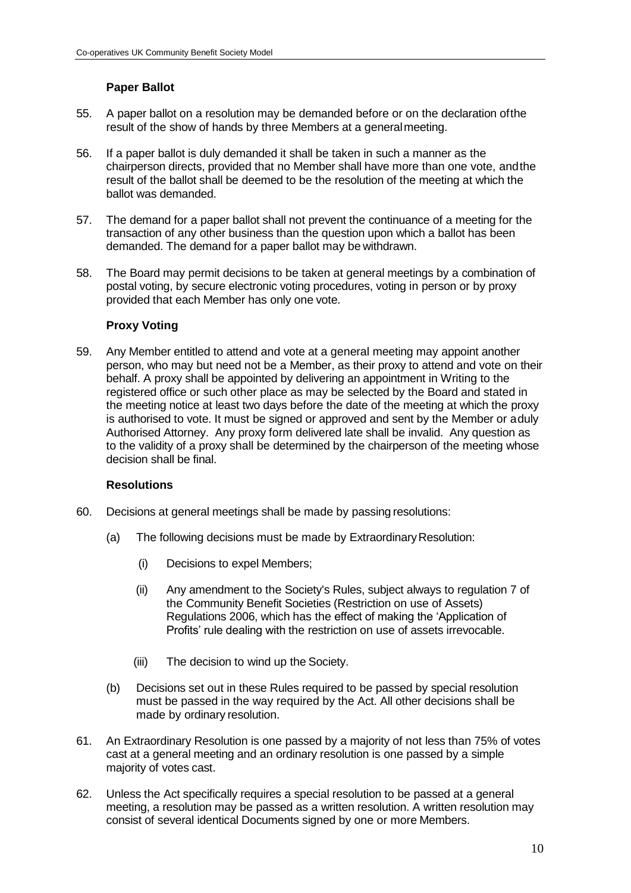# **Paper Ballot**

- 55. A paper ballot on a resolution may be demanded before or on the declaration ofthe result of the show of hands by three Members at a generalmeeting.
- 56. If a paper ballot is duly demanded it shall be taken in such a manner as the chairperson directs, provided that no Member shall have more than one vote, andthe result of the ballot shall be deemed to be the resolution of the meeting at which the ballot was demanded.
- 57. The demand for a paper ballot shall not prevent the continuance of a meeting for the transaction of any other business than the question upon which a ballot has been demanded. The demand for a paper ballot may be withdrawn.
- 58. The Board may permit decisions to be taken at general meetings by a combination of postal voting, by secure electronic voting procedures, voting in person or by proxy provided that each Member has only one vote.

## **Proxy Voting**

59. Any Member entitled to attend and vote at a general meeting may appoint another person, who may but need not be a Member, as their proxy to attend and vote on their behalf. A proxy shall be appointed by delivering an appointment in Writing to the registered office or such other place as may be selected by the Board and stated in the meeting notice at least two days before the date of the meeting at which the proxy is authorised to vote. It must be signed or approved and sent by the Member or aduly Authorised Attorney. Any proxy form delivered late shall be invalid. Any question as to the validity of a proxy shall be determined by the chairperson of the meeting whose decision shall be final.

#### **Resolutions**

- 60. Decisions at general meetings shall be made by passing resolutions:
	- (a) The following decisions must be made by Extraordinary Resolution:
		- (i) Decisions to expel Members;
		- (ii) Any amendment to the Society's Rules, subject always to regulation 7 of the Community Benefit Societies (Restriction on use of Assets) Regulations 2006, which has the effect of making the 'Application of Profits' rule dealing with the restriction on use of assets irrevocable.
		- (iii) The decision to wind up the Society.
	- (b) Decisions set out in these Rules required to be passed by special resolution must be passed in the way required by the Act. All other decisions shall be made by ordinary resolution.
- 61. An Extraordinary Resolution is one passed by a majority of not less than 75% of votes cast at a general meeting and an ordinary resolution is one passed by a simple majority of votes cast.
- 62. Unless the Act specifically requires a special resolution to be passed at a general meeting, a resolution may be passed as a written resolution. A written resolution may consist of several identical Documents signed by one or more Members.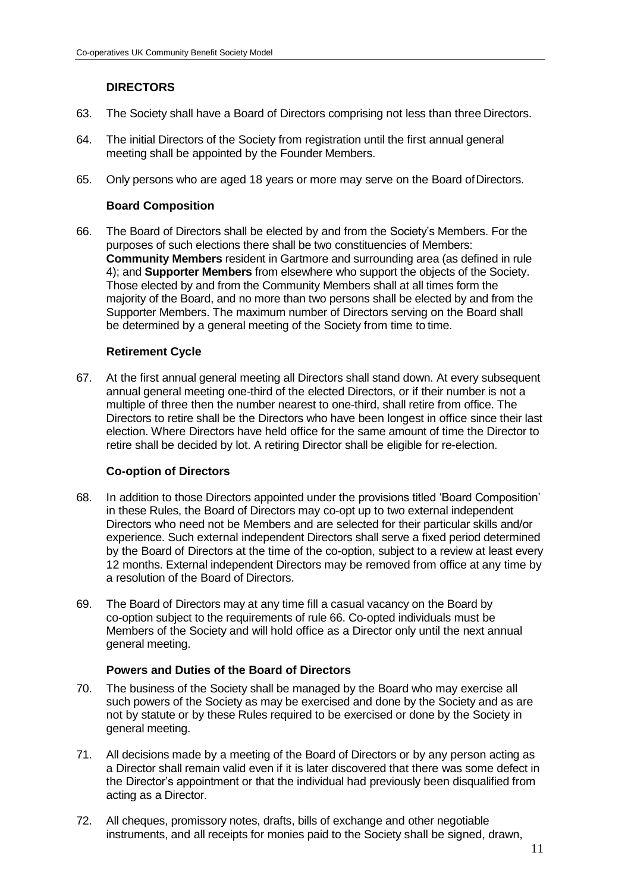# **DIRECTORS**

- 63. The Society shall have a Board of Directors comprising not less than three Directors.
- 64. The initial Directors of the Society from registration until the first annual general meeting shall be appointed by the Founder Members.
- 65. Only persons who are aged 18 years or more may serve on the Board ofDirectors.

#### **Board Composition**

66. The Board of Directors shall be elected by and from the Society's Members. For the purposes of such elections there shall be two constituencies of Members: **Community Members** resident in Gartmore and surrounding area (as defined in rule 4); and **Supporter Members** from elsewhere who support the objects of the Society. Those elected by and from the Community Members shall at all times form the majority of the Board, and no more than two persons shall be elected by and from the Supporter Members. The maximum number of Directors serving on the Board shall be determined by a general meeting of the Society from time to time.

# **Retirement Cycle**

67. At the first annual general meeting all Directors shall stand down. At every subsequent annual general meeting one-third of the elected Directors, or if their number is not a multiple of three then the number nearest to one-third, shall retire from office. The Directors to retire shall be the Directors who have been longest in office since their last election. Where Directors have held office for the same amount of time the Director to retire shall be decided by lot. A retiring Director shall be eligible for re-election.

## **Co-option of Directors**

- 68. In addition to those Directors appointed under the provisions titled 'Board Composition' in these Rules, the Board of Directors may co-opt up to two external independent Directors who need not be Members and are selected for their particular skills and/or experience. Such external independent Directors shall serve a fixed period determined by the Board of Directors at the time of the co-option, subject to a review at least every 12 months. External independent Directors may be removed from office at any time by a resolution of the Board of Directors.
- 69. The Board of Directors may at any time fill a casual vacancy on the Board by co-option subject to the requirements of rule 66. Co-opted individuals must be Members of the Society and will hold office as a Director only until the next annual general meeting.

## **Powers and Duties of the Board of Directors**

- 70. The business of the Society shall be managed by the Board who may exercise all such powers of the Society as may be exercised and done by the Society and as are not by statute or by these Rules required to be exercised or done by the Society in general meeting.
- 71. All decisions made by a meeting of the Board of Directors or by any person acting as a Director shall remain valid even if it is later discovered that there was some defect in the Director's appointment or that the individual had previously been disqualified from acting as a Director.
- 72. All cheques, promissory notes, drafts, bills of exchange and other negotiable instruments, and all receipts for monies paid to the Society shall be signed, drawn,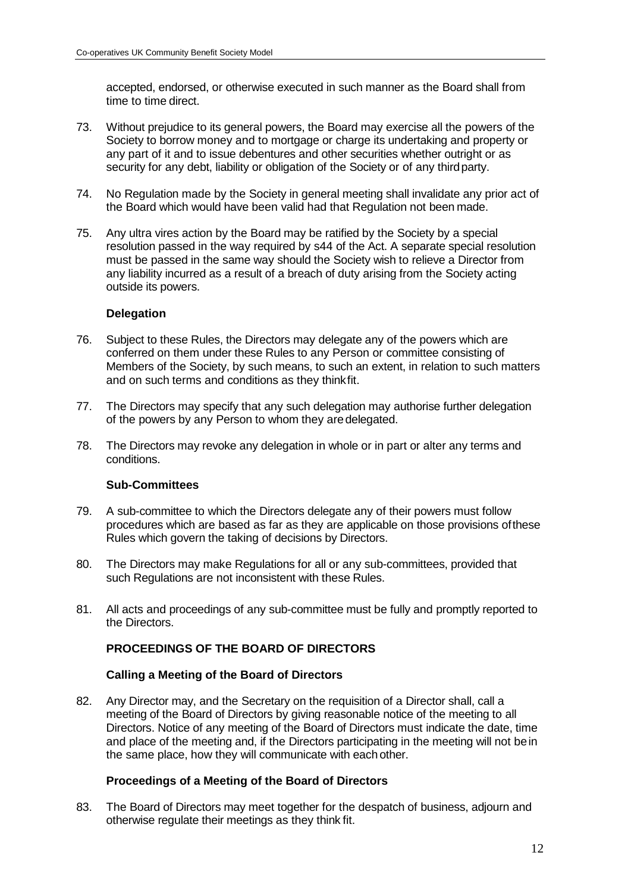accepted, endorsed, or otherwise executed in such manner as the Board shall from time to time direct.

- 73. Without prejudice to its general powers, the Board may exercise all the powers of the Society to borrow money and to mortgage or charge its undertaking and property or any part of it and to issue debentures and other securities whether outright or as security for any debt, liability or obligation of the Society or of any third party.
- 74. No Regulation made by the Society in general meeting shall invalidate any prior act of the Board which would have been valid had that Regulation not been made.
- 75. Any ultra vires action by the Board may be ratified by the Society by a special resolution passed in the way required by s44 of the Act. A separate special resolution must be passed in the same way should the Society wish to relieve a Director from any liability incurred as a result of a breach of duty arising from the Society acting outside its powers.

## **Delegation**

- 76. Subject to these Rules, the Directors may delegate any of the powers which are conferred on them under these Rules to any Person or committee consisting of Members of the Society, by such means, to such an extent, in relation to such matters and on such terms and conditions as they thinkfit.
- 77. The Directors may specify that any such delegation may authorise further delegation of the powers by any Person to whom they aredelegated.
- 78. The Directors may revoke any delegation in whole or in part or alter any terms and conditions.

#### **Sub-Committees**

- 79. A sub-committee to which the Directors delegate any of their powers must follow procedures which are based as far as they are applicable on those provisions ofthese Rules which govern the taking of decisions by Directors.
- 80. The Directors may make Regulations for all or any sub-committees, provided that such Regulations are not inconsistent with these Rules.
- 81. All acts and proceedings of any sub-committee must be fully and promptly reported to the Directors.

# **PROCEEDINGS OF THE BOARD OF DIRECTORS**

## **Calling a Meeting of the Board of Directors**

82. Any Director may, and the Secretary on the requisition of a Director shall, call a meeting of the Board of Directors by giving reasonable notice of the meeting to all Directors. Notice of any meeting of the Board of Directors must indicate the date, time and place of the meeting and, if the Directors participating in the meeting will not bein the same place, how they will communicate with each other.

#### **Proceedings of a Meeting of the Board of Directors**

83. The Board of Directors may meet together for the despatch of business, adjourn and otherwise regulate their meetings as they think fit.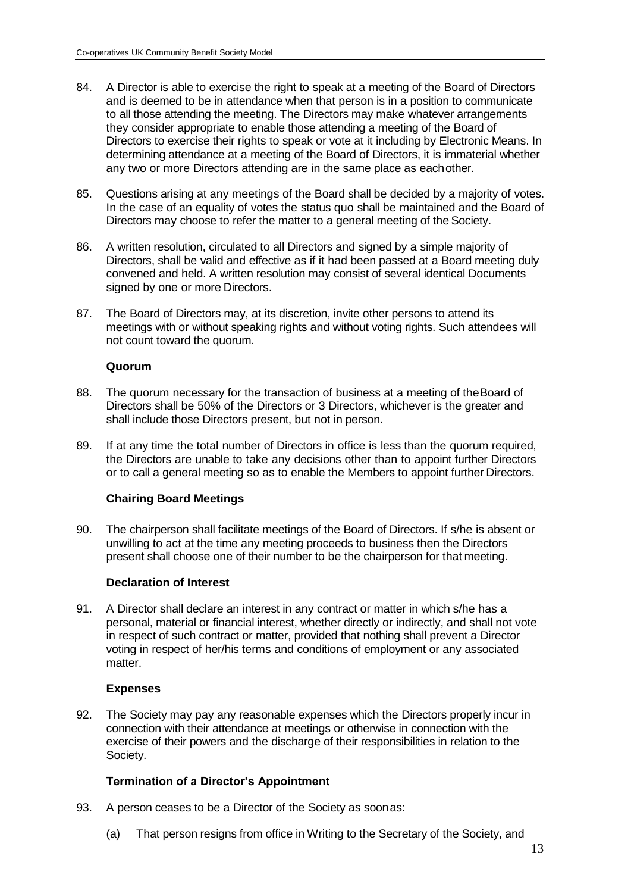- 84. A Director is able to exercise the right to speak at a meeting of the Board of Directors and is deemed to be in attendance when that person is in a position to communicate to all those attending the meeting. The Directors may make whatever arrangements they consider appropriate to enable those attending a meeting of the Board of Directors to exercise their rights to speak or vote at it including by Electronic Means. In determining attendance at a meeting of the Board of Directors, it is immaterial whether any two or more Directors attending are in the same place as eachother.
- 85. Questions arising at any meetings of the Board shall be decided by a majority of votes. In the case of an equality of votes the status quo shall be maintained and the Board of Directors may choose to refer the matter to a general meeting of the Society.
- 86. A written resolution, circulated to all Directors and signed by a simple majority of Directors, shall be valid and effective as if it had been passed at a Board meeting duly convened and held. A written resolution may consist of several identical Documents signed by one or more Directors.
- 87. The Board of Directors may, at its discretion, invite other persons to attend its meetings with or without speaking rights and without voting rights. Such attendees will not count toward the quorum.

#### **Quorum**

- 88. The quorum necessary for the transaction of business at a meeting of theBoard of Directors shall be 50% of the Directors or 3 Directors, whichever is the greater and shall include those Directors present, but not in person.
- 89. If at any time the total number of Directors in office is less than the quorum required, the Directors are unable to take any decisions other than to appoint further Directors or to call a general meeting so as to enable the Members to appoint further Directors.

## **Chairing Board Meetings**

90. The chairperson shall facilitate meetings of the Board of Directors. If s/he is absent or unwilling to act at the time any meeting proceeds to business then the Directors present shall choose one of their number to be the chairperson for that meeting.

## **Declaration of Interest**

91. A Director shall declare an interest in any contract or matter in which s/he has a personal, material or financial interest, whether directly or indirectly, and shall not vote in respect of such contract or matter, provided that nothing shall prevent a Director voting in respect of her/his terms and conditions of employment or any associated matter.

#### **Expenses**

92. The Society may pay any reasonable expenses which the Directors properly incur in connection with their attendance at meetings or otherwise in connection with the exercise of their powers and the discharge of their responsibilities in relation to the Society.

## **Termination of a Director's Appointment**

- 93. A person ceases to be a Director of the Society as soonas:
	- (a) That person resigns from office in Writing to the Secretary of the Society, and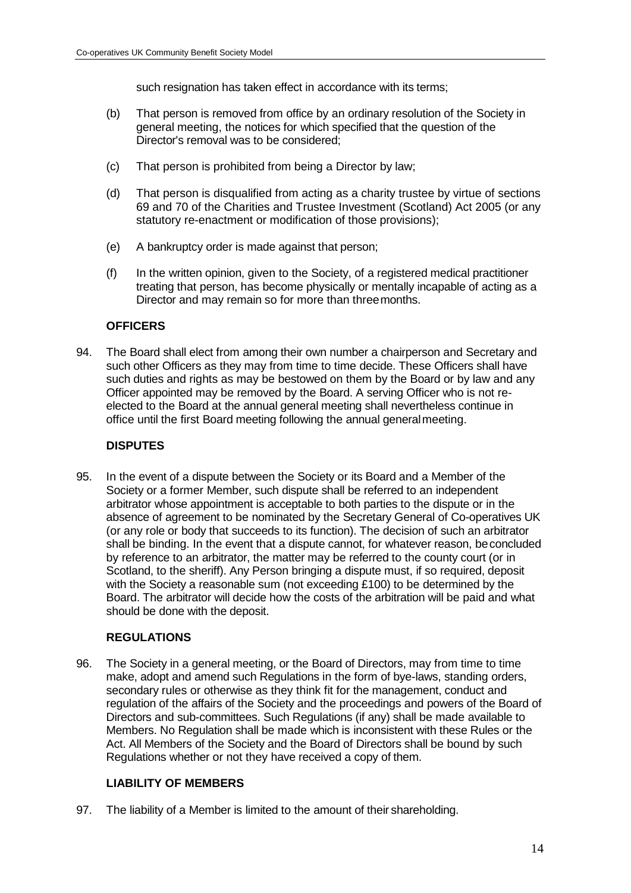such resignation has taken effect in accordance with its terms;

- (b) That person is removed from office by an ordinary resolution of the Society in general meeting, the notices for which specified that the question of the Director's removal was to be considered;
- (c) That person is prohibited from being a Director by law;
- (d) That person is disqualified from acting as a charity trustee by virtue of sections 69 and 70 of the Charities and Trustee Investment (Scotland) Act 2005 (or any statutory re-enactment or modification of those provisions);
- (e) A bankruptcy order is made against that person;
- (f) In the written opinion, given to the Society, of a registered medical practitioner treating that person, has become physically or mentally incapable of acting as a Director and may remain so for more than threemonths.

# **OFFICERS**

94. The Board shall elect from among their own number a chairperson and Secretary and such other Officers as they may from time to time decide. These Officers shall have such duties and rights as may be bestowed on them by the Board or by law and any Officer appointed may be removed by the Board. A serving Officer who is not reelected to the Board at the annual general meeting shall nevertheless continue in office until the first Board meeting following the annual generalmeeting.

# **DISPUTES**

95. In the event of a dispute between the Society or its Board and a Member of the Society or a former Member, such dispute shall be referred to an independent arbitrator whose appointment is acceptable to both parties to the dispute or in the absence of agreement to be nominated by the Secretary General of Co-operatives UK (or any role or body that succeeds to its function). The decision of such an arbitrator shall be binding. In the event that a dispute cannot, for whatever reason, beconcluded by reference to an arbitrator, the matter may be referred to the county court (or in Scotland, to the sheriff). Any Person bringing a dispute must, if so required, deposit with the Society a reasonable sum (not exceeding £100) to be determined by the Board. The arbitrator will decide how the costs of the arbitration will be paid and what should be done with the deposit.

## **REGULATIONS**

96. The Society in a general meeting, or the Board of Directors, may from time to time make, adopt and amend such Regulations in the form of bye-laws, standing orders, secondary rules or otherwise as they think fit for the management, conduct and regulation of the affairs of the Society and the proceedings and powers of the Board of Directors and sub-committees. Such Regulations (if any) shall be made available to Members. No Regulation shall be made which is inconsistent with these Rules or the Act. All Members of the Society and the Board of Directors shall be bound by such Regulations whether or not they have received a copy of them.

## **LIABILITY OF MEMBERS**

97. The liability of a Member is limited to the amount of their shareholding.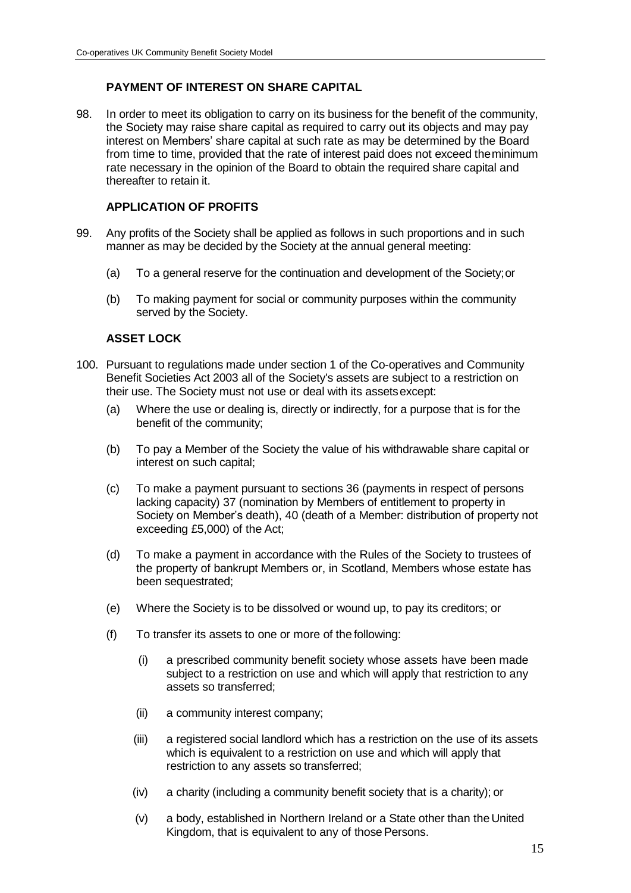# **PAYMENT OF INTEREST ON SHARE CAPITAL**

98. In order to meet its obligation to carry on its business for the benefit of the community, the Society may raise share capital as required to carry out its objects and may pay interest on Members' share capital at such rate as may be determined by the Board from time to time, provided that the rate of interest paid does not exceed theminimum rate necessary in the opinion of the Board to obtain the required share capital and thereafter to retain it.

# **APPLICATION OF PROFITS**

- 99. Any profits of the Society shall be applied as follows in such proportions and in such manner as may be decided by the Society at the annual general meeting:
	- (a) To a general reserve for the continuation and development of the Society;or
	- (b) To making payment for social or community purposes within the community served by the Society.

# **ASSET LOCK**

- 100. Pursuant to regulations made under section 1 of the Co-operatives and Community Benefit Societies Act 2003 all of the Society's assets are subject to a restriction on their use. The Society must not use or deal with its assetsexcept:
	- (a) Where the use or dealing is, directly or indirectly, for a purpose that is for the benefit of the community;
	- (b) To pay a Member of the Society the value of his withdrawable share capital or interest on such capital;
	- (c) To make a payment pursuant to sections 36 (payments in respect of persons lacking capacity) 37 (nomination by Members of entitlement to property in Society on Member's death), 40 (death of a Member: distribution of property not exceeding £5,000) of the Act;
	- (d) To make a payment in accordance with the Rules of the Society to trustees of the property of bankrupt Members or, in Scotland, Members whose estate has been sequestrated;
	- (e) Where the Society is to be dissolved or wound up, to pay its creditors; or
	- (f) To transfer its assets to one or more of the following:
		- (i) a prescribed community benefit society whose assets have been made subject to a restriction on use and which will apply that restriction to any assets so transferred;
		- (ii) a community interest company;
		- (iii) a registered social landlord which has a restriction on the use of its assets which is equivalent to a restriction on use and which will apply that restriction to any assets so transferred;
		- (iv) a charity (including a community benefit society that is a charity); or
		- (v) a body, established in Northern Ireland or a State other than the United Kingdom, that is equivalent to any of those Persons.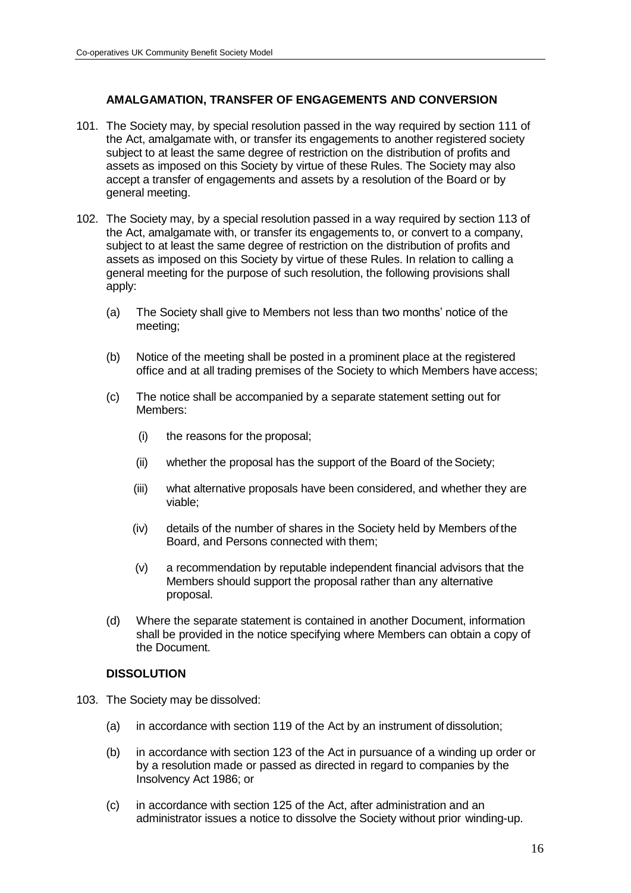## **AMALGAMATION, TRANSFER OF ENGAGEMENTS AND CONVERSION**

- 101. The Society may, by special resolution passed in the way required by section 111 of the Act, amalgamate with, or transfer its engagements to another registered society subject to at least the same degree of restriction on the distribution of profits and assets as imposed on this Society by virtue of these Rules. The Society may also accept a transfer of engagements and assets by a resolution of the Board or by general meeting.
- 102. The Society may, by a special resolution passed in a way required by section 113 of the Act, amalgamate with, or transfer its engagements to, or convert to a company, subject to at least the same degree of restriction on the distribution of profits and assets as imposed on this Society by virtue of these Rules. In relation to calling a general meeting for the purpose of such resolution, the following provisions shall apply:
	- (a) The Society shall give to Members not less than two months' notice of the meeting;
	- (b) Notice of the meeting shall be posted in a prominent place at the registered office and at all trading premises of the Society to which Members have access;
	- (c) The notice shall be accompanied by a separate statement setting out for Members:
		- (i) the reasons for the proposal;
		- (ii) whether the proposal has the support of the Board of the Society;
		- (iii) what alternative proposals have been considered, and whether they are viable;
		- (iv) details of the number of shares in the Society held by Members of the Board, and Persons connected with them;
		- (v) a recommendation by reputable independent financial advisors that the Members should support the proposal rather than any alternative proposal.
	- (d) Where the separate statement is contained in another Document, information shall be provided in the notice specifying where Members can obtain a copy of the Document.

#### **DISSOLUTION**

- 103. The Society may be dissolved:
	- (a) in accordance with section 119 of the Act by an instrument of dissolution;
	- (b) in accordance with section 123 of the Act in pursuance of a winding up order or by a resolution made or passed as directed in regard to companies by the Insolvency Act 1986; or
	- (c) in accordance with section 125 of the Act, after administration and an administrator issues a notice to dissolve the Society without prior winding-up.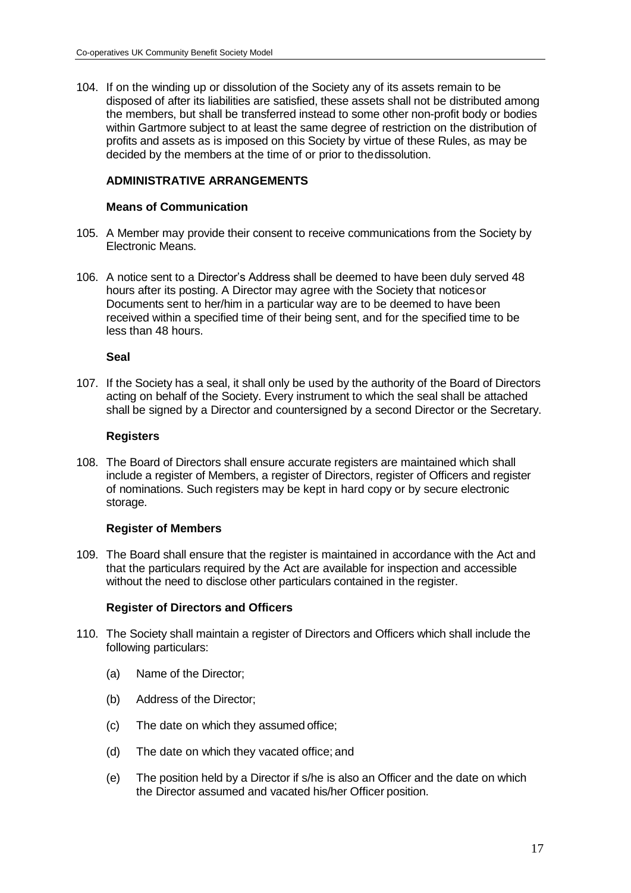104. If on the winding up or dissolution of the Society any of its assets remain to be disposed of after its liabilities are satisfied, these assets shall not be distributed among the members, but shall be transferred instead to some other non-profit body or bodies within Gartmore subject to at least the same degree of restriction on the distribution of profits and assets as is imposed on this Society by virtue of these Rules, as may be decided by the members at the time of or prior to thedissolution.

# **ADMINISTRATIVE ARRANGEMENTS**

#### **Means of Communication**

- 105. A Member may provide their consent to receive communications from the Society by Electronic Means.
- 106. A notice sent to a Director's Address shall be deemed to have been duly served 48 hours after its posting. A Director may agree with the Society that noticesor Documents sent to her/him in a particular way are to be deemed to have been received within a specified time of their being sent, and for the specified time to be less than 48 hours.

#### **Seal**

107. If the Society has a seal, it shall only be used by the authority of the Board of Directors acting on behalf of the Society. Every instrument to which the seal shall be attached shall be signed by a Director and countersigned by a second Director or the Secretary.

#### **Registers**

108. The Board of Directors shall ensure accurate registers are maintained which shall include a register of Members, a register of Directors, register of Officers and register of nominations. Such registers may be kept in hard copy or by secure electronic storage.

## **Register of Members**

109. The Board shall ensure that the register is maintained in accordance with the Act and that the particulars required by the Act are available for inspection and accessible without the need to disclose other particulars contained in the register.

## **Register of Directors and Officers**

- 110. The Society shall maintain a register of Directors and Officers which shall include the following particulars:
	- (a) Name of the Director;
	- (b) Address of the Director;
	- (c) The date on which they assumed office;
	- (d) The date on which they vacated office; and
	- (e) The position held by a Director if s/he is also an Officer and the date on which the Director assumed and vacated his/her Officer position.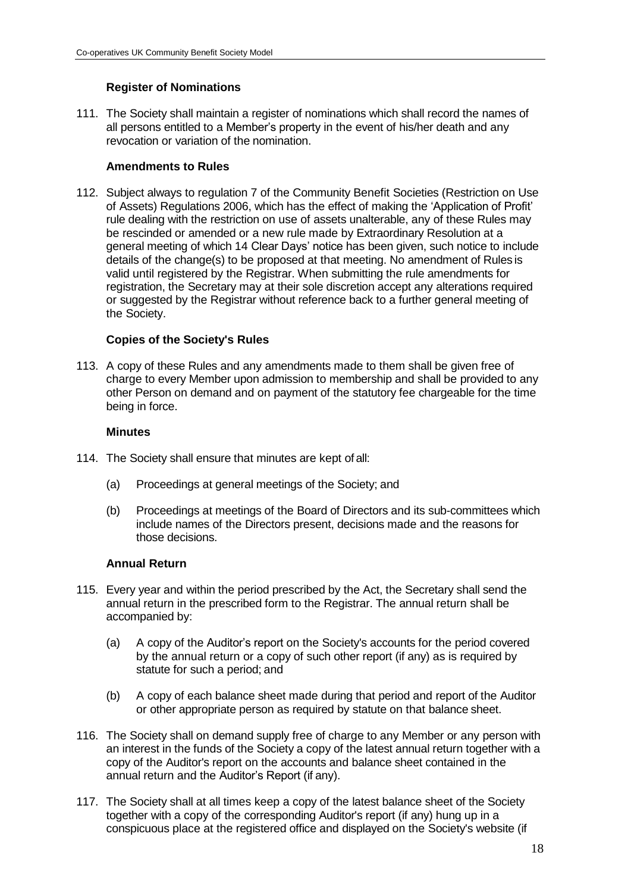# **Register of Nominations**

111. The Society shall maintain a register of nominations which shall record the names of all persons entitled to a Member's property in the event of his/her death and any revocation or variation of the nomination.

#### **Amendments to Rules**

112. Subject always to regulation 7 of the Community Benefit Societies (Restriction on Use of Assets) Regulations 2006, which has the effect of making the 'Application of Profit' rule dealing with the restriction on use of assets unalterable, any of these Rules may be rescinded or amended or a new rule made by Extraordinary Resolution at a general meeting of which 14 Clear Days' notice has been given, such notice to include details of the change(s) to be proposed at that meeting. No amendment of Rules is valid until registered by the Registrar. When submitting the rule amendments for registration, the Secretary may at their sole discretion accept any alterations required or suggested by the Registrar without reference back to a further general meeting of the Society.

#### **Copies of the Society's Rules**

113. A copy of these Rules and any amendments made to them shall be given free of charge to every Member upon admission to membership and shall be provided to any other Person on demand and on payment of the statutory fee chargeable for the time being in force.

#### **Minutes**

- 114. The Society shall ensure that minutes are kept of all:
	- (a) Proceedings at general meetings of the Society; and
	- (b) Proceedings at meetings of the Board of Directors and its sub-committees which include names of the Directors present, decisions made and the reasons for those decisions.

#### **Annual Return**

- 115. Every year and within the period prescribed by the Act, the Secretary shall send the annual return in the prescribed form to the Registrar. The annual return shall be accompanied by:
	- (a) A copy of the Auditor's report on the Society's accounts for the period covered by the annual return or a copy of such other report (if any) as is required by statute for such a period; and
	- (b) A copy of each balance sheet made during that period and report of the Auditor or other appropriate person as required by statute on that balance sheet.
- 116. The Society shall on demand supply free of charge to any Member or any person with an interest in the funds of the Society a copy of the latest annual return together with a copy of the Auditor's report on the accounts and balance sheet contained in the annual return and the Auditor's Report (if any).
- 117. The Society shall at all times keep a copy of the latest balance sheet of the Society together with a copy of the corresponding Auditor's report (if any) hung up in a conspicuous place at the registered office and displayed on the Society's website (if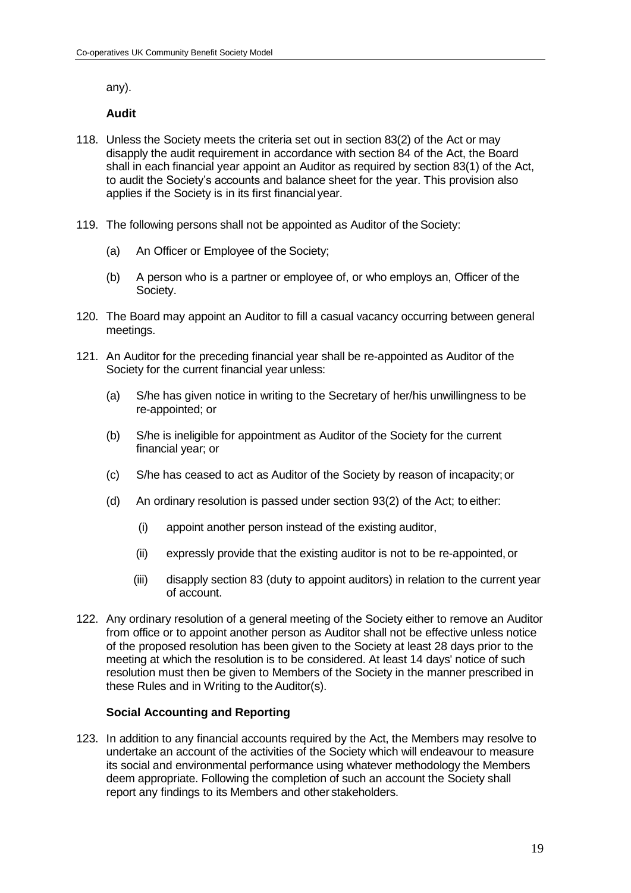any).

#### **Audit**

- 118. Unless the Society meets the criteria set out in section 83(2) of the Act or may disapply the audit requirement in accordance with section 84 of the Act, the Board shall in each financial year appoint an Auditor as required by section 83(1) of the Act, to audit the Society's accounts and balance sheet for the year. This provision also applies if the Society is in its first financial year.
- 119. The following persons shall not be appointed as Auditor of the Society:
	- (a) An Officer or Employee of the Society;
	- (b) A person who is a partner or employee of, or who employs an, Officer of the Society.
- 120. The Board may appoint an Auditor to fill a casual vacancy occurring between general meetings.
- 121. An Auditor for the preceding financial year shall be re-appointed as Auditor of the Society for the current financial year unless:
	- (a) S/he has given notice in writing to the Secretary of her/his unwillingness to be re-appointed; or
	- (b) S/he is ineligible for appointment as Auditor of the Society for the current financial year; or
	- (c) S/he has ceased to act as Auditor of the Society by reason of incapacity;or
	- (d) An ordinary resolution is passed under section 93(2) of the Act; to either:
		- (i) appoint another person instead of the existing auditor,
		- (ii) expressly provide that the existing auditor is not to be re-appointed, or
		- (iii) disapply section 83 (duty to appoint auditors) in relation to the current year of account.
- 122. Any ordinary resolution of a general meeting of the Society either to remove an Auditor from office or to appoint another person as Auditor shall not be effective unless notice of the proposed resolution has been given to the Society at least 28 days prior to the meeting at which the resolution is to be considered. At least 14 days' notice of such resolution must then be given to Members of the Society in the manner prescribed in these Rules and in Writing to the Auditor(s).

#### **Social Accounting and Reporting**

123. In addition to any financial accounts required by the Act, the Members may resolve to undertake an account of the activities of the Society which will endeavour to measure its social and environmental performance using whatever methodology the Members deem appropriate. Following the completion of such an account the Society shall report any findings to its Members and other stakeholders.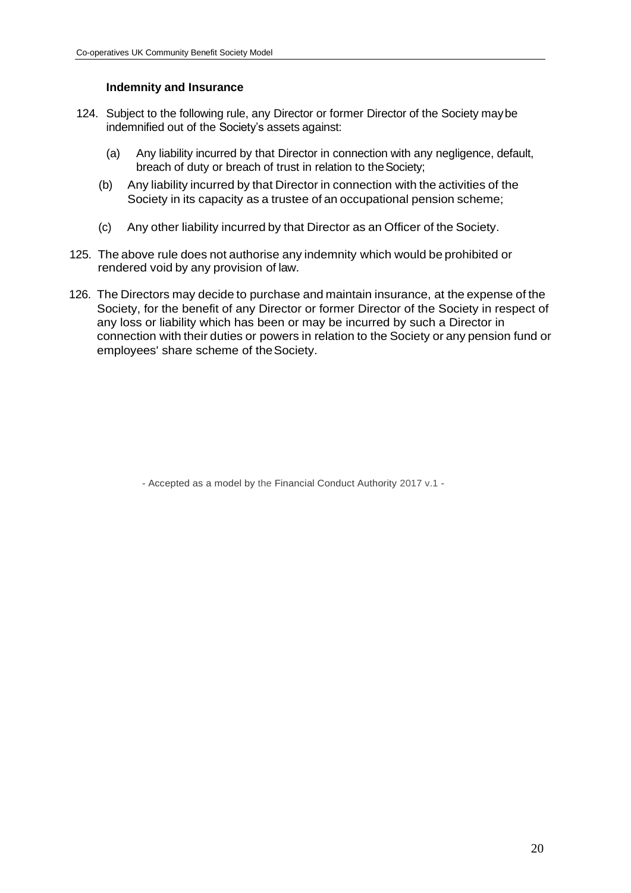## **Indemnity and Insurance**

- 124. Subject to the following rule, any Director or former Director of the Society maybe indemnified out of the Society's assets against:
	- (a) Any liability incurred by that Director in connection with any negligence, default, breach of duty or breach of trust in relation to theSociety;
	- (b) Any liability incurred by that Director in connection with the activities of the Society in its capacity as a trustee of an occupational pension scheme;
	- (c) Any other liability incurred by that Director as an Officer of the Society.
- 125. The above rule does not authorise any indemnity which would be prohibited or rendered void by any provision of law.
- 126. The Directors may decide to purchase and maintain insurance, at the expense of the Society, for the benefit of any Director or former Director of the Society in respect of any loss or liability which has been or may be incurred by such a Director in connection with their duties or powers in relation to the Society or any pension fund or employees' share scheme of theSociety.

- Accepted as a model by the Financial Conduct Authority 2017 v.1 -